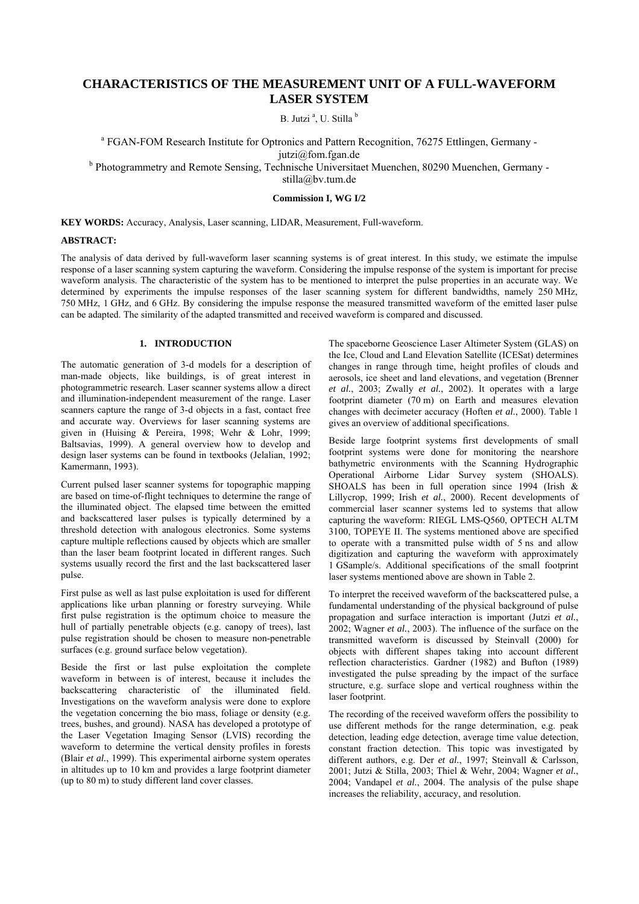# **CHARACTERISTICS OF THE MEASUREMENT UNIT OF A FULL-WAVEFORM LASER SYSTEM**

B. Jutzi<sup>a</sup>, U. Stilla<sup>b</sup>

<sup>a</sup> FGAN-FOM Research Institute for Optronics and Pattern Recognition, 76275 Ettlingen, Germany jutzi@fom.fgan.de <sup>b</sup> Photogrammetry and Remote Sensing, Technische Universitaet Muenchen, 80290 Muenchen, Germany -

stilla@bv.tum.de

### **Commission I, WG I/2**

**KEY WORDS:** Accuracy, Analysis, Laser scanning, LIDAR, Measurement, Full-waveform.

### **ABSTRACT:**

The analysis of data derived by full-waveform laser scanning systems is of great interest. In this study, we estimate the impulse response of a laser scanning system capturing the waveform. Considering the impulse response of the system is important for precise waveform analysis. The characteristic of the system has to be mentioned to interpret the pulse properties in an accurate way. We determined by experiments the impulse responses of the laser scanning system for different bandwidths, namely 250 MHz, 750 MHz, 1 GHz, and 6 GHz. By considering the impulse response the measured transmitted waveform of the emitted laser pulse can be adapted. The similarity of the adapted transmitted and received waveform is compared and discussed.

# **1. INTRODUCTION**

The automatic generation of 3-d models for a description of man-made objects, like buildings, is of great interest in photogrammetric research. Laser scanner systems allow a direct and illumination-independent measurement of the range. Laser scanners capture the range of 3-d objects in a fast, contact free and accurate way. Overviews for laser scanning systems are given in (Huising & Pereira, 1998; Wehr & Lohr, 1999; Baltsavias, 1999). A general overview how to develop and design laser systems can be found in textbooks (Jelalian, 1992; Kamermann, 1993).

Current pulsed laser scanner systems for topographic mapping are based on time-of-flight techniques to determine the range of the illuminated object. The elapsed time between the emitted and backscattered laser pulses is typically determined by a threshold detection with analogous electronics. Some systems capture multiple reflections caused by objects which are smaller than the laser beam footprint located in different ranges. Such systems usually record the first and the last backscattered laser pulse.

First pulse as well as last pulse exploitation is used for different applications like urban planning or forestry surveying. While first pulse registration is the optimum choice to measure the hull of partially penetrable objects (e.g. canopy of trees), last pulse registration should be chosen to measure non-penetrable surfaces (e.g. ground surface below vegetation).

Beside the first or last pulse exploitation the complete waveform in between is of interest, because it includes the backscattering characteristic of the illuminated field. Investigations on the waveform analysis were done to explore the vegetation concerning the bio mass, foliage or density  $(e.g.,\)$ trees, bushes, and ground). NASA has developed a prototype of the Laser Vegetation Imaging Sensor (LVIS) recording the waveform to determine the vertical density profiles in forests (Blair *et al.*, 1999). This experimental airborne system operates in altitudes up to 10 km and provides a large footprint diameter (up to 80 m) to study different land cover classes.

The spaceborne Geoscience Laser Altimeter System (GLAS) on the Ice, Cloud and Land Elevation Satellite (ICESat) determines changes in range through time, height profiles of clouds and aerosols, ice sheet and land elevations, and vegetation (Brenner *et al.*, 2003; Zwally *et al.*, 2002). It operates with a large footprint diameter (70 m) on Earth and measures elevation changes with decimeter accuracy (Hoften *et al.*, 2000). Table 1 gives an overview of additional specifications.

Beside large footprint systems first developments of small footprint systems were done for monitoring the nearshore bathymetric environments with the Scanning Hydrographic Operational Airborne Lidar Survey system (SHOALS). SHOALS has been in full operation since 1994 (Irish  $\&$ Lillycrop, 1999; Irish *et al.*, 2000). Recent developments of commercial laser scanner systems led to systems that allow capturing the waveform: RIEGL LMS-Q560, OPTECH ALTM 3100, TOPEYE II. The systems mentioned above are specified to operate with a transmitted pulse width of 5 ns and allow digitization and capturing the waveform with approximately 1 GSample/s. Additional specifications of the small footprint laser systems mentioned above are shown in Table 2.

To interpret the received waveform of the backscattered pulse, a fundamental understanding of the physical background of pulse propagation and surface interaction is important (Jutzi *et al.*, 2002; Wagner *et al.*, 2003). The influence of the surface on the transmitted waveform is discussed by Steinvall (2000) for objects with different shapes taking into account different reflection characteristics. Gardner (1982) and Bufton (1989) investigated the pulse spreading by the impact of the surface structure, e.g. surface slope and vertical roughness within the laser footprint.

The recording of the received waveform offers the possibility to use different methods for the range determination, e.g. peak detection, leading edge detection, average time value detection, constant fraction detection. This topic was investigated by different authors, e.g. Der et al., 1997; Steinvall & Carlsson, 2001; Jutzi & Stilla, 2003; Thiel & Wehr, 2004; Wagner *et al.*, 2004; Vandapel *et al.*, 2004. The analysis of the pulse shape increases the reliability, accuracy, and resolution.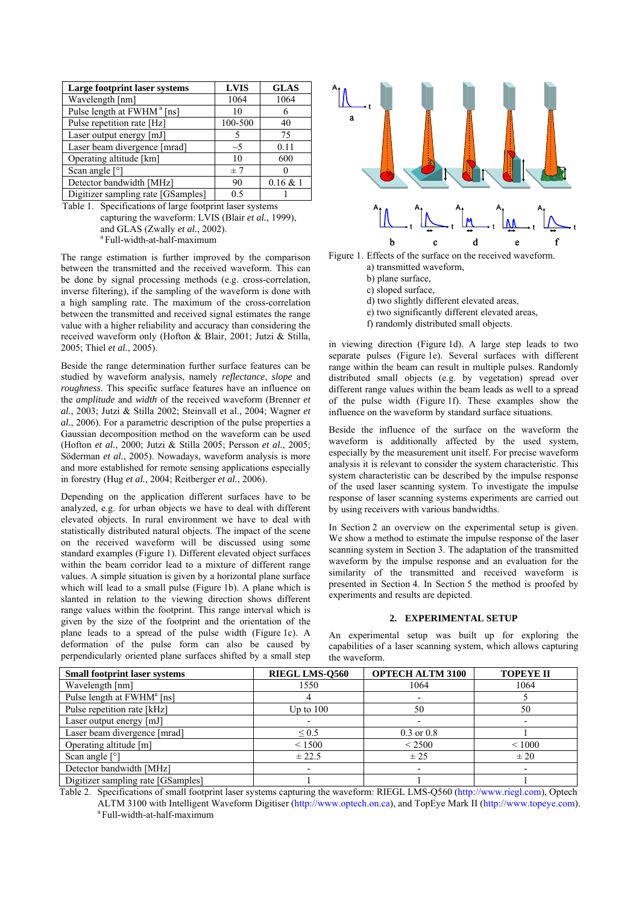| Large footprint laser systems          | <b>LVIS</b> | <b>GLAS</b> |  |
|----------------------------------------|-------------|-------------|--|
| Wavelength [nm]                        | 1064        | 1064        |  |
| Pulse length at FWHM <sup>a</sup> [ns] | 10          |             |  |
| Pulse repetition rate [Hz]             | 100-500     | 40          |  |
| Laser output energy [mJ]               |             | 75          |  |
| Laser beam divergence [mrad]           | $\sim$ 5    | 0.11        |  |
| Operating altitude [km]                | 10          | 600         |  |
| Scan angle $\lceil$ <sup>o</sup> ]     | ±7          |             |  |
| Detector bandwidth [MHz]               | 90          | $0.16 \& 1$ |  |
| Digitizer sampling rate [GSamples]     | 0.5         |             |  |

Table 1. Specifications of large footprint laser systems

capturing the waveform: LVIS (Blair *et al.*, 1999), and GLAS (Zwally *et al.*, 2002).<sup>a</sup> Full-width-at-half-maximum

The range estimation is further improved by the comparison

between the transmitted and the received waveform. This can be done by signal processing methods (e.g. cross-correlation, inverse filtering), if the sampling of the waveform is done with a high sampling rate. The maximum of the cross-correlation between the transmitted and received signal estimates the range value with a higher reliability and accuracy than considering the received waveform only (Hofton & Blair, 2001; Jutzi & Stilla, 2005; Thiel *et al.*, 2005).

Beside the range determination further surface features can be studied by waveform analysis, namely *reflectance*, *slope* and *roughness*. This specific surface features have an influence on the *amplitude* and *width* of the received waveform (Brenner *et al.*, 2003; Jutzi & Stilla 2002; Steinvall et al., 2004; Wagner *et al.*, 2006). For a parametric description of the pulse properties a Gaussian decomposition method on the waveform can be used (Hofton *et al.*, 2000; Jutzi & Stilla 2005; Persson *et al.*, 2005; Söderman *et al.*, 2005). Nowadays, waveform analysis is more and more established for remote sensing applications especially in forestry (Hug *et al.*, 2004; Reitberger *et al.*, 2006).

Depending on the application different surfaces have to be analyzed, e.g. for urban objects we have to deal with different elevated objects. In rural environment we have to deal with statistically distributed natural objects. The impact of the scene on the received waveform will be discussed using some standard examples (Figure 1). Different elevated object surfaces within the beam corridor lead to a mixture of different range values. A simple situation is given by a horizontal plane surface which will lead to a small pulse (Figure 1b). A plane which is slanted in relation to the viewing direction shows different range values within the footprint. This range interval which is given by the size of the footprint and the orientation of the plane leads to a spread of the pulse width (Figure 1c). A deformation of the pulse form can also be caused by perpendicularly oriented plane surfaces shifted by a small step



Figure 1. Effects of the surface on the received waveform.

a) transmitted waveform,

- b) plane surface,
- c) sloped surface,
- d) two slightly different elevated areas,
- e) two significantly different elevated areas,
- f) randomly distributed small objects.

in viewing direction (Figure 1d). A large step leads to two separate pulses (Figure 1e). Several surfaces with different range within the beam can result in multiple pulses. Randomly distributed small objects (e.g. by vegetation) spread over different range values within the beam leads as well to a spread of the pulse width (Figure 1f). These examples show the influence on the waveform by standard surface situations.

Beside the influence of the surface on the waveform the waveform is additionally affected by the used system, especially by the measurement unit itself. For precise waveform analysis it is relevant to consider the system characteristic. This system characteristic can be described by the impulse response of the used laser scanning system. To investigate the impulse response of laser scanning systems experiments are carried out by using receivers with various bandwidths.

In Section 2 an overview on the experimental setup is given. We show a method to estimate the impulse response of the laser scanning system in Section 3. The adaptation of the transmitted waveform by the impulse response and an evaluation for the similarity of the transmitted and received waveform is presented in Section 4. In Section 5 the method is proofed by experiments and results are depicted.

### **2. EXPERIMENTAL SETUP**

An experimental setup was built up for exploring the capabilities of a laser scanning system, which allows capturing the waveform.

| <b>Small footprint laser systems</b>   | <b>RIEGL LMS-0560</b> | <b>OPTECH ALTM 3100</b> | <b>TOPEYE II</b> |
|----------------------------------------|-----------------------|-------------------------|------------------|
| Wavelength [nm]                        | 1550                  | 1064                    | 1064             |
| Pulse length at FWHM <sup>a</sup> [ns] |                       |                         |                  |
| Pulse repetition rate [kHz]            | Up to $100$           | 50                      | 50               |
| Laser output energy [mJ]               |                       |                         |                  |
| Laser beam divergence [mrad]           | $\leq 0.5$            | $0.3$ or $0.8$          |                  |
| Operating altitude [m]                 | < 1500                | < 2500                  | ${}< 1000$       |
| Scan angle $\lceil \circ \rceil$       | ± 22.5                | ± 25                    | $\pm 20$         |
| Detector bandwidth [MHz]               |                       |                         |                  |
| Digitizer sampling rate [GSamples]     |                       |                         |                  |

Table 2. Specifications of small footprint laser systems capturing the waveform: RIEGL LMS-Q560 (http://www.riegl.com), Optech ALTM 3100 with Intelligent Waveform Digitiser (http://www.optech.on.ca), and TopEye Mark II (http://www.topeye.com). <sup>a</sup> Full-width-at-half-maximum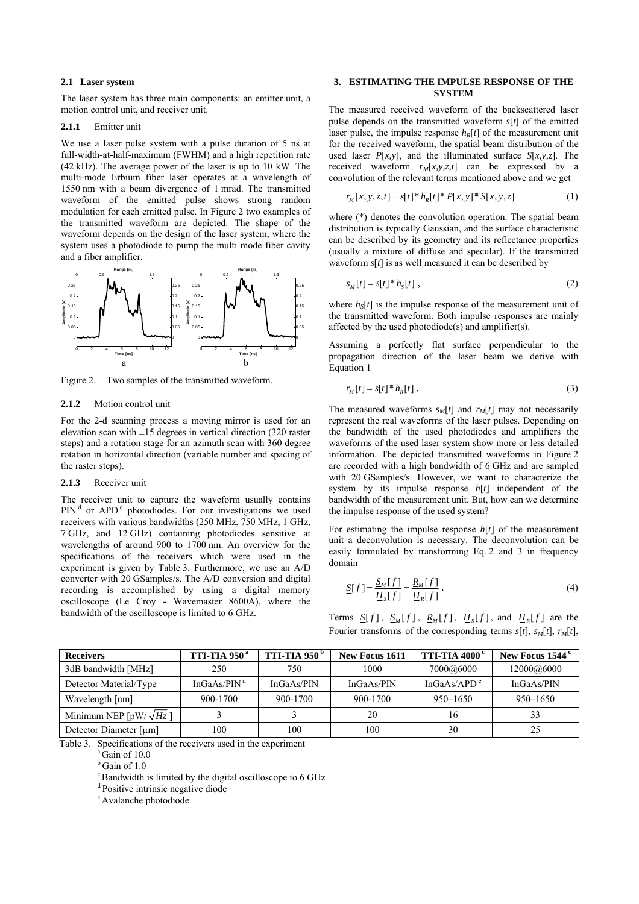### **2.1 Laser system**

The laser system has three main components: an emitter unit, a motion control unit, and receiver unit.

# **2.1.1** Emitter unit

We use a laser pulse system with a pulse duration of 5 ns at full-width-at-half-maximum (FWHM) and a high repetition rate (42 kHz). The average power of the laser is up to 10 kW. The multi-mode Erbium fiber laser operates at a wavelength of 1550 nm with a beam divergence of 1 mrad. The transmitted waveform of the emitted pulse shows strong random modulation for each emitted pulse. In Figure 2 two examples of the transmitted waveform are depicted. The shape of the waveform depends on the design of the laser system, where the system uses a photodiode to pump the multi mode fiber cavity and a fiber amplifier.



Figure 2. Two samples of the transmitted waveform.

# **2.1.2** Motion control unit

For the 2-d scanning process a moving mirror is used for an elevation scan with  $\pm 15$  degrees in vertical direction (320 raster steps) and a rotation stage for an azimuth scan with 360 degree rotation in horizontal direction (variable number and spacing of the raster steps).

#### **2.1.3** Receiver unit

The receiver unit to capture the waveform usually contains PIN<sup>d</sup> or APD<sup>e</sup> photodiodes. For our investigations we used receivers with various bandwidths (250 MHz, 750 MHz, 1 GHz, 7 GHz, and 12 GHz) containing photodiodes sensitive at wavelengths of around 900 to 1700 nm. An overview for the specifications of the receivers which were used in the experiment is given by Table 3. Furthermore, we use an A/D converter with 20 GSamples/s. The A/D conversion and digital recording is accomplished by using a digital memory oscilloscope (Le Croy - Wavemaster 8600A), where the bandwidth of the oscilloscope is limited to 6 GHz.

# **3. ESTIMATING THE IMPULSE RESPONSE OF THE SYSTEM**

The measured received waveform of the backscattered laser pulse depends on the transmitted waveform *s*[*t*] of the emitted laser pulse, the impulse response  $h_R[t]$  of the measurement unit for the received waveform, the spatial beam distribution of the used laser  $P[x, y]$ , and the illuminated surface  $S[x, y, z]$ . The received waveform  $r_M[x, y, z, t]$  can be expressed by a convolution of the relevant terms mentioned above and we get

$$
r_M[x, y, z, t] = s[t]^* h_R[t]^* P[x, y]^* S[x, y, z]
$$
 (1)

where (\*) denotes the convolution operation. The spatial beam distribution is typically Gaussian, and the surface characteristic can be described by its geometry and its reflectance properties (usually a mixture of diffuse and specular). If the transmitted waveform *s*[*t*] is as well measured it can be described by

$$
s_M[t] = s[t]^* h_s[t], \qquad (2)
$$

where  $h_{\mathcal{S}}[t]$  is the impulse response of the measurement unit of the transmitted waveform. Both impulse responses are mainly affected by the used photodiode(s) and amplifier(s).

Assuming a perfectly flat surface perpendicular to the propagation direction of the laser beam we derive with Equation 1

$$
r_M[t] = s[t]^* h_R[t].
$$
 (3)

The measured waveforms  $s_M[t]$  and  $r_M[t]$  may not necessarily represent the real waveforms of the laser pulses. Depending on the bandwidth of the used photodiodes and amplifiers the waveforms of the used laser system show more or less detailed information. The depicted transmitted waveforms in Figure 2 are recorded with a high bandwidth of 6 GHz and are sampled with 20 GSamples/s. However, we want to characterize the system by its impulse response *h*[*t*] independent of the bandwidth of the measurement unit. But, how can we determine the impulse response of the used system?

For estimating the impulse response *h*[*t*] of the measurement unit a deconvolution is necessary. The deconvolution can be easily formulated by transforming Eq. 2 and 3 in frequency domain

$$
\underline{S}[f] = \frac{S_M[f]}{H_S[f]} = \frac{R_M[f]}{H_R[f]}.
$$
\n(4)

Terms  $S[f]$ ,  $S_M[f]$ ,  $R_M[f]$ ,  $H_S[f]$ , and  $H_R[f]$  are the Fourier transforms of the corresponding terms  $s[t]$ ,  $s_M[t]$ ,  $r_M[t]$ ,

| <b>Receivers</b>               | <b>TTI-TIA 950<sup>a</sup></b> | <b>TTI-TIA 950<sup>b</sup></b> | New Focus 1611 | <b>TTI-TIA 4000<sup>c</sup></b> | New Focus 1544 <sup>c</sup> |
|--------------------------------|--------------------------------|--------------------------------|----------------|---------------------------------|-----------------------------|
| 3dB bandwidth [MHz]            | 250                            | 750                            | 1000           | 7000@ <sub>6000</sub>           | 12000@ <sub>6000</sub>      |
| Detector Material/Type         | InGaAs/PIN <sup>d</sup>        | In GaAs/PIN                    | InGaAs/PIN     | In $GaAs/APD^e$                 | InGaAs/PIN                  |
| Wavelength [nm]                | 900-1700                       | 900-1700                       | 900-1700       | $950 - 1650$                    | $950 - 1650$                |
| Minimum NEP [pW/ $\sqrt{Hz}$ ] |                                |                                | 20             | 16                              | 33                          |
| Detector Diameter $[\mu m]$    | 100                            | 100                            | 100            | 30                              | 25                          |

Table 3. Specifications of the receivers used in the experiment  $a$ <sup>a</sup> Gain of 10.0

 $<sup>b</sup>$  Gain of 1.0</sup>

c Bandwidth is limited by the digital oscilloscope to 6 GHz

d Positive intrinsic negative diode

e Avalanche photodiode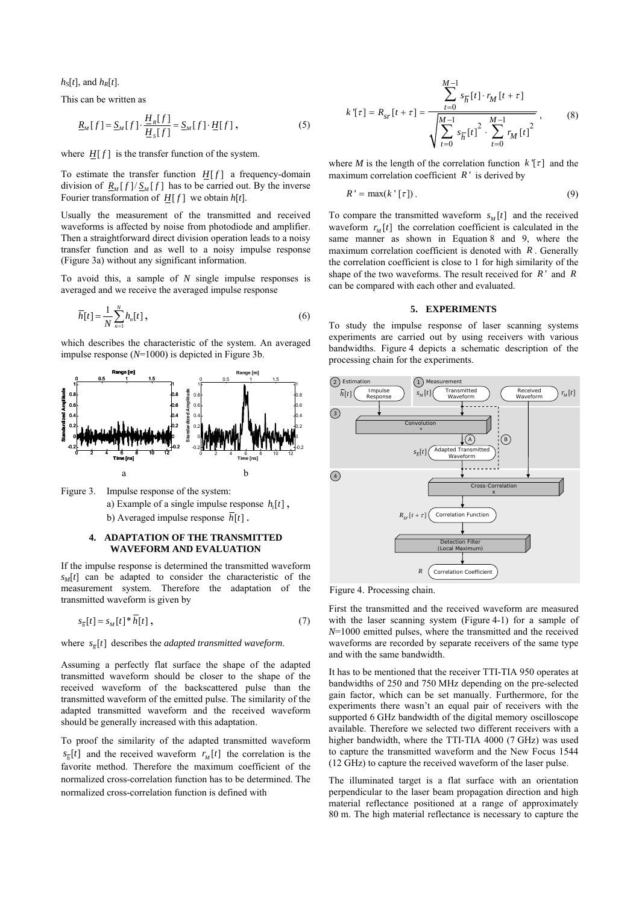$h_S[t]$ , and  $h_R[t]$ .

This can be written as

$$
\underline{R}_M[f] = \underline{S}_M[f] \cdot \frac{\underline{H}_R[f]}{\underline{H}_S[f]} = \underline{S}_M[f] \cdot \underline{H}[f],\tag{5}
$$

where  $H[f]$  is the transfer function of the system.

To estimate the transfer function  $H[f]$  a frequency-domain division of  $R_M[f]/S_M[f]$  has to be carried out. By the inverse Fourier transformation of  $H[f]$  we obtain  $h[t]$ .

Usually the measurement of the transmitted and received waveforms is affected by noise from photodiode and amplifier. Then a straightforward direct division operation leads to a noisy transfer function and as well to a noisy impulse response (Figure 3a) without any significant information.

To avoid this, a sample of *N* single impulse responses is averaged and we receive the averaged impulse response

$$
\overline{h}[t] = \frac{1}{N} \sum_{n=1}^{N} h_n[t],\tag{6}
$$

which describes the characteristic of the system. An averaged impulse response (*N*=1000) is depicted in Figure 3b.



Figure 3. Impulse response of the system: a) Example of a single impulse response  $h_1[t]$ , b) Averaged impulse response  $\overline{h}[t]$ .

# **4. ADAPTATION OF THE TRANSMITTED WAVEFORM AND EVALUATION**

If the impulse response is determined the transmitted waveform  $s_M[t]$  can be adapted to consider the characteristic of the measurement system. Therefore the adaptation of the transmitted waveform is given by

$$
s_{\overline{h}}[t] = s_M[t]^* \overline{h}[t], \qquad (7)
$$

where  $s_{\overline{k}}[t]$  describes the *adapted transmitted waveform*.

Assuming a perfectly flat surface the shape of the adapted transmitted waveform should be closer to the shape of the received waveform of the backscattered pulse than the transmitted waveform of the emitted pulse. The similarity of the adapted transmitted waveform and the received waveform should be generally increased with this adaptation.

To proof the similarity of the adapted transmitted waveform  $s_{\overline{h}}[t]$  and the received waveform  $r_M[t]$  the correlation is the favorite method. Therefore the maximum coefficient of the normalized cross-correlation function has to be determined. The normalized cross-correlation function is defined with

$$
k \left[ \tau \right] = R_{sr}[t + \tau] = \frac{\sum_{t=0}^{M-1} s_{\overline{h}}[t] \cdot r_M[t + \tau]}{\sqrt{\sum_{t=0}^{M-1} s_{\overline{h}}[t]^2 \cdot \sum_{t=0}^{M-1} r_M[t]^2}},
$$
(8)

where *M* is the length of the correlation function  $k \lceil \tau \rceil$  and the maximum correlation coefficient  $R'$  is derived by

$$
R' = \max(k' [\tau]). \tag{9}
$$

To compare the transmitted waveform  $s_M[t]$  and the received waveform  $r_M[t]$  the correlation coefficient is calculated in the same manner as shown in Equation 8 and 9, where the maximum correlation coefficient is denoted with *R* . Generally the correlation coefficient is close to 1 for high similarity of the shape of the two waveforms. The result received for *R* ' and *R* can be compared with each other and evaluated.

### **5. EXPERIMENTS**

To study the impulse response of laser scanning systems experiments are carried out by using receivers with various bandwidths. Figure 4 depicts a schematic description of the processing chain for the experiments.



Figure 4. Processing chain.

First the transmitted and the received waveform are measured with the laser scanning system (Figure 4-1) for a sample of *N*=1000 emitted pulses, where the transmitted and the received waveforms are recorded by separate receivers of the same type and with the same bandwidth.

It has to be mentioned that the receiver TTI-TIA 950 operates at bandwidths of 250 and 750 MHz depending on the pre-selected gain factor, which can be set manually. Furthermore, for the experiments there wasn't an equal pair of receivers with the supported 6 GHz bandwidth of the digital memory oscilloscope available. Therefore we selected two different receivers with a higher bandwidth, where the TTI-TIA 4000 (7 GHz) was used to capture the transmitted waveform and the New Focus 1544 (12 GHz) to capture the received waveform of the laser pulse.

The illuminated target is a flat surface with an orientation perpendicular to the laser beam propagation direction and high material reflectance positioned at a range of approximately 80 m. The high material reflectance is necessary to capture the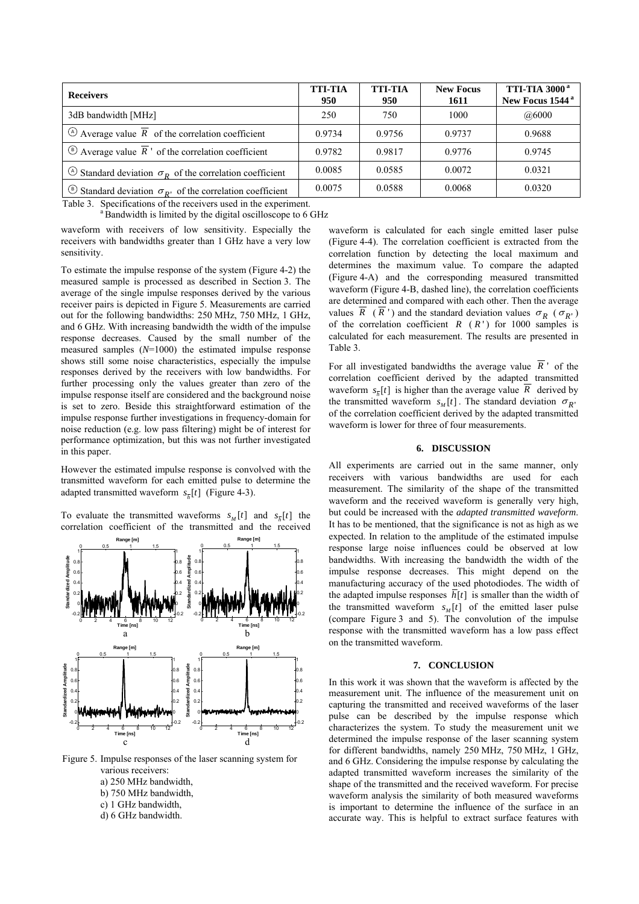| <b>Receivers</b>                                                             | <b>TTI-TIA</b><br>950 | <b>TTI-TIA</b><br>950 | <b>New Focus</b><br>1611 | <b>TTI-TIA 3000<sup>a</sup></b><br>New Focus 1544 <sup>a</sup> |
|------------------------------------------------------------------------------|-----------------------|-----------------------|--------------------------|----------------------------------------------------------------|
| 3dB bandwidth [MHz]                                                          | 250                   | 750                   | 1000                     | @6000                                                          |
| $\overline{A}$ Average value $\overline{R}$ of the correlation coefficient   | 0.9734                | 0.9756                | 0.9737                   | 0.9688                                                         |
| $\circledcirc$ Average value $\overline{R}$ ' of the correlation coefficient | 0.9782                | 0.9817                | 0.9776                   | 0.9745                                                         |
| (A) Standard deviation $\sigma_R$ of the correlation coefficient             | 0.0085                | 0.0585                | 0.0072                   | 0.0321                                                         |
| $\circ$ Standard deviation $\sigma_{R}$ of the correlation coefficient       | 0.0075                | 0.0588                | 0.0068                   | 0.0320                                                         |

Table 3. Specifications of the receivers used in the experiment.<br><sup>a</sup> Bandwidth is limited by the digital oscilloscope to 6 GHz

waveform with receivers of low sensitivity. Especially the receivers with bandwidths greater than 1 GHz have a very low sensitivity.

To estimate the impulse response of the system (Figure 4-2) the measured sample is processed as described in Section 3. The average of the single impulse responses derived by the various receiver pairs is depicted in Figure 5. Measurements are carried out for the following bandwidths: 250 MHz, 750 MHz, 1 GHz, and 6 GHz. With increasing bandwidth the width of the impulse response decreases. Caused by the small number of the measured samples (*N*=1000) the estimated impulse response shows still some noise characteristics, especially the impulse responses derived by the receivers with low bandwidths. For further processing only the values greater than zero of the impulse response itself are considered and the background noise is set to zero. Beside this straightforward estimation of the impulse response further investigations in frequency-domain for noise reduction (e.g. low pass filtering) might be of interest for performance optimization, but this was not further investigated in this paper.

However the estimated impulse response is convolved with the transmitted waveform for each emitted pulse to determine the adapted transmitted waveform  $s_{\overline{h}}[t]$  (Figure 4-3).

To evaluate the transmitted waveforms  $s_M[t]$  and  $s_{\overline{k}}[t]$  the correlation coefficient of the transmitted and the received



Figure 5. Impulse responses of the laser scanning system for various receivers: a) 250 MHz bandwidth,

- b) 750 MHz bandwidth,
- c) 1 GHz bandwidth,
- d) 6 GHz bandwidth.

waveform is calculated for each single emitted laser pulse (Figure 4-4). The correlation coefficient is extracted from the correlation function by detecting the local maximum and determines the maximum value. To compare the adapted (Figure 4-A) and the corresponding measured transmitted waveform (Figure 4-B, dashed line), the correlation coefficients are determined and compared with each other. Then the average values  $\overline{R}$  ( $\overline{R}$ <sup>T</sup>) and the standard deviation values  $\sigma_R$  ( $\sigma_{R}$ <sup>T</sup>) of the correlation coefficient  $R$  ( $R$ <sup>'</sup>) for 1000 samples is calculated for each measurement. The results are presented in Table 3.

For all investigated bandwidths the average value  $\overline{R}$  of the correlation coefficient derived by the adapted transmitted waveform  $s_{\overline{k}}[t]$  is higher than the average value  $\overline{R}$  derived by the transmitted waveform  $s_M[t]$ . The standard deviation  $\sigma_{R'}$ of the correlation coefficient derived by the adapted transmitted waveform is lower for three of four measurements.

# **6. DISCUSSION**

All experiments are carried out in the same manner, only receivers with various bandwidths are used for each measurement. The similarity of the shape of the transmitted waveform and the received waveform is generally very high, but could be increased with the *adapted transmitted waveform*. It has to be mentioned, that the significance is not as high as we expected. In relation to the amplitude of the estimated impulse response large noise influences could be observed at low bandwidths. With increasing the bandwidth the width of the impulse response decreases. This might depend on the manufacturing accuracy of the used photodiodes. The width of the adapted impulse responses  $\overline{h}[t]$  is smaller than the width of the transmitted waveform  $s_M[t]$  of the emitted laser pulse (compare Figure 3 and 5). The convolution of the impulse response with the transmitted waveform has a low pass effect on the transmitted waveform.

### **7. CONCLUSION**

In this work it was shown that the waveform is affected by the measurement unit. The influence of the measurement unit on capturing the transmitted and received waveforms of the laser pulse can be described by the impulse response which characterizes the system. To study the measurement unit we determined the impulse response of the laser scanning system for different bandwidths, namely 250 MHz, 750 MHz, 1 GHz, and 6 GHz. Considering the impulse response by calculating the adapted transmitted waveform increases the similarity of the shape of the transmitted and the received waveform. For precise waveform analysis the similarity of both measured waveforms is important to determine the influence of the surface in an accurate way. This is helpful to extract surface features with